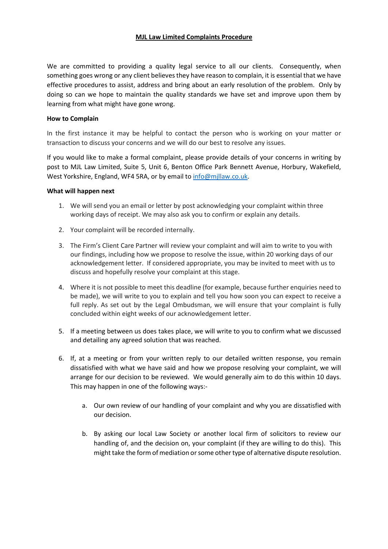## MJL Law Limited Complaints Procedure

We are committed to providing a quality legal service to all our clients. Consequently, when something goes wrong or any client believes they have reason to complain, it is essential that we have effective procedures to assist, address and bring about an early resolution of the problem. Only by doing so can we hope to maintain the quality standards we have set and improve upon them by learning from what might have gone wrong.

## How to Complain

In the first instance it may be helpful to contact the person who is working on your matter or transaction to discuss your concerns and we will do our best to resolve any issues.

If you would like to make a formal complaint, please provide details of your concerns in writing by post to MJL Law Limited, Suite 5, Unit 6, Benton Office Park Bennett Avenue, Horbury, Wakefield, West Yorkshire, England, WF4 5RA, or by email to info@mjllaw.co.uk.

## What will happen next

- 1. We will send you an email or letter by post acknowledging your complaint within three working days of receipt. We may also ask you to confirm or explain any details.
- 2. Your complaint will be recorded internally.
- 3. The Firm's Client Care Partner will review your complaint and will aim to write to you with our findings, including how we propose to resolve the issue, within 20 working days of our acknowledgement letter. If considered appropriate, you may be invited to meet with us to discuss and hopefully resolve your complaint at this stage.
- 4. Where it is not possible to meet this deadline (for example, because further enquiries need to be made), we will write to you to explain and tell you how soon you can expect to receive a full reply. As set out by the Legal Ombudsman, we will ensure that your complaint is fully concluded within eight weeks of our acknowledgement letter.
- 5. If a meeting between us does takes place, we will write to you to confirm what we discussed and detailing any agreed solution that was reached.
- 6. If, at a meeting or from your written reply to our detailed written response, you remain dissatisfied with what we have said and how we propose resolving your complaint, we will arrange for our decision to be reviewed. We would generally aim to do this within 10 days. This may happen in one of the following ways:
	- a. Our own review of our handling of your complaint and why you are dissatisfied with our decision.
	- b. By asking our local Law Society or another local firm of solicitors to review our handling of, and the decision on, your complaint (if they are willing to do this). This might take the form of mediation or some other type of alternative dispute resolution.